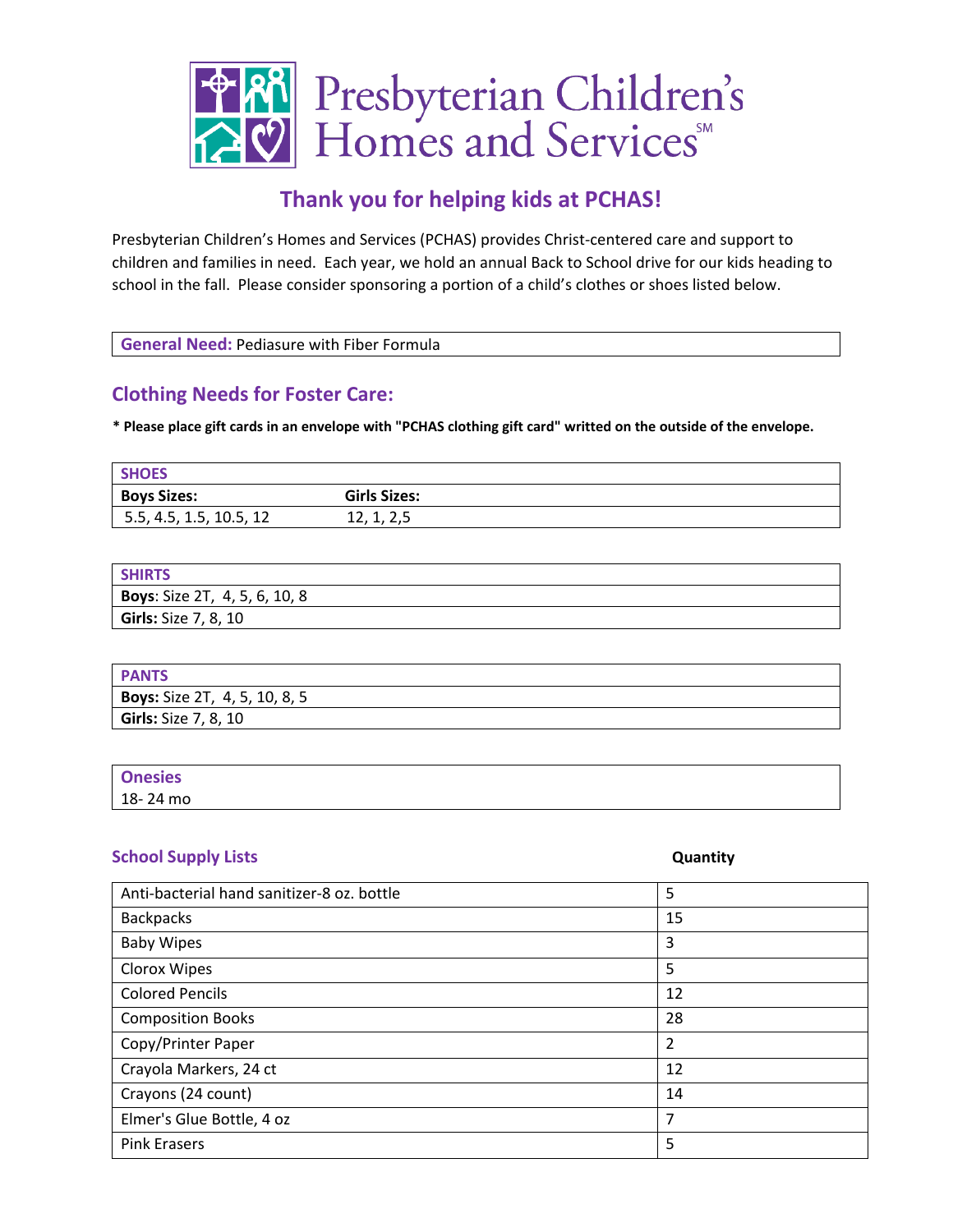

## **Thank you for helping kids at PCHAS!**

Presbyterian Children's Homes and Services (PCHAS) provides Christ-centered care and support to children and families in need. Each year, we hold an annual Back to School drive for our kids heading to school in the fall. Please consider sponsoring a portion of a child's clothes or shoes listed below.

| General Need: Pediasure with Fiber Formula |
|--------------------------------------------|
|--------------------------------------------|

## **Clothing Needs for Foster Care:**

**\* Please place gift cards in an envelope with "PCHAS clothing gift card" writted on the outside of the envelope.** 

| <b>SHOES</b>            |                     |
|-------------------------|---------------------|
| <b>Boys Sizes:</b>      | <b>Girls Sizes:</b> |
| 5.5, 4.5, 1.5, 10.5, 12 | 14, 1, 4, J         |

| <b>SHIRTS</b>                 |
|-------------------------------|
| Boys: Size 2T, 4, 5, 6, 10, 8 |
| <b>Girls:</b> Size 7, 8, 10   |

| <b>PANTS</b>                         |  |
|--------------------------------------|--|
| <b>Boys:</b> Size 2T, 4, 5, 10, 8, 5 |  |
| <b>Girls:</b> Size 7, 8, 10          |  |

| <b>Onesies</b> |  |
|----------------|--|
| 18-24 mo       |  |

## **School Supply Lists Quantity**

| Anti-bacterial hand sanitizer-8 oz. bottle | 5  |
|--------------------------------------------|----|
| <b>Backpacks</b>                           | 15 |
| <b>Baby Wipes</b>                          | 3  |
| Clorox Wipes                               | 5  |
| <b>Colored Pencils</b>                     | 12 |
| <b>Composition Books</b>                   | 28 |
| Copy/Printer Paper                         | 2  |
| Crayola Markers, 24 ct                     | 12 |
| Crayons (24 count)                         | 14 |
| Elmer's Glue Bottle, 4 oz                  | 7  |
| <b>Pink Erasers</b>                        | 5  |